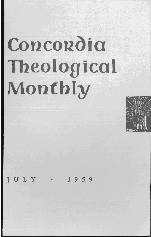# Concordia **Theological Montbly**



JULY • 1 <sup>9</sup> <sup>5</sup> <sup>9</sup>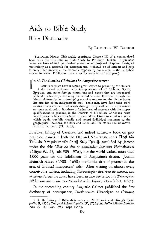# **Aids to Bible Study Bible** Dictionaries

## By FREDERICK W. DANKER

[EDITORIAL NOTE: This article constitutes Chapter IX of a contemplated book with the title *Aids to Bible Study* by Professor Danker. In previous issues we have offered our readers several other projected chapters. Designed particularly as a textbook for classroom use, it should be of interest and help to every Bible student, as the favorable response by our readers to the published articles indicates. Publication date is set for early fall of this year.]

I n his *De doctrina Christiana* St. Augustine wrote:

Certain scholars have rendered great service by providing the student of the Sacred Scriptures with interpretations of all Hebrew, Syrian, Egyptian, and other foreign expressions and names that are introduced without further explanation by the sacred writers. Eusebius through his historical investigations developing out of a concern for the divine books has also left us an indispensable tool. These men have done their work so that Christians need not search through many authors for information on some small point. But there is further need of someone with the proper qualifications to produce, in the interests of his fellow Christians, what would properly be called a labor of love. What I have in mind is a work which would carefully classify and accord individual treatment to the geographical locations, the flora and fauna, and the stones and unknown metals of Scripture (Bk. II, 39).

Eusebius, Bishop of Caesarea, had indeed written a book on geographical names in both the Old and New Testaments  $\Pi$   $\epsilon \rho$  to  $\tilde{\nu}$ Toπικῶν 'Ονομάτων τῶν ἐν τῇ Θεία Γραφῇ, amplified by Jerome under the title *Liber de situ et nominibus locorum Hebraicorum* (Migne *PL*, 23, cols. 903-976), but the world waited more than 1,000 years for the fulfillment of Augustine's dream. Johann Heinrich Alsted (1588-1638) merits the title of pioneer in this area of Biblical interpreters' aids.<sup>1</sup> After writing on almost every conceivable subject, including *Tabacologia: doctrina de natura, usu* et abusu tabaci, he must have been in fine fettle for his *Triumphus* Bibliorum Sacrorum seu Encyclopaedia Biblica (Frankfort, 1625).

In the succeeding century Augustin Calmet published the first dictionary of consequence, *Dictionnaire Historique et Critique*,

<sup>1</sup> On the history of Bible dictionaries see McClintock and Strong's *Cyclopedia,* II, 787ff.; *The Jewish Encyclopedia,* IV, 577ff.; and *Fuller Library Bulletin,*  Nos. 20–23 (Oct. 1953–Sept. 1954).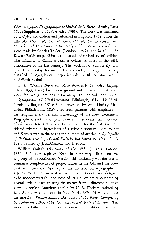*Chronologique, Geographique et Litteral de la Bible* (2 vols., Paris, 1722; Supplement, 1728; 4 vols., 1730). The work was translated by D'Oyley and Colson and published in England, 1732, under the title *An Historical, Critical, Geographical, Chronological, and Etymological Dictionary of the Holy Bible.* Numerous additions were made by Charles Taylor (London, 1795), and in 1832-35 Edward Robinson published a condensed and revised seventh edition. The influence of Calmet's work is evident in most of the Bible dictionaries of the last century. The work is not completely antiquated even today, for included at the end of this opus is a long classified bibliography of interpretive aids, the like of which would be difficult to find.

G. B. Winer's *Biblisches Realworterbuch* (2 vols., Leipzig, 1820, 1833, 1847) broke new ground and remained the standard work for two generations in Germany. In England John Kitto's *A Cyclopaedia of Biblical Literature* (Edinburgh, 1843-45; 2d ed., 2 vols. by Burgess, 1856; 3d ed. rewritten by Wm. Lindsay Alexander, Philadelphia, 1865), set fresh patterns with emphases on the religion, literature, and archaeology of the New Testament. Biographical sketches of prominent Bible students and discussion of rabbinical lore such as the Talmud were for the first time considered substantial ingredients of a Bible dictionary. Both Winer and Kitto served as the basis for a number of articles in *Cyclopedia of Biblical, Theological, and Ecclesiastical Literature* (New York, 1894), edited by J. McClintock and J. Strong.

William Smith's *Dictionary of the Bible* (3 vols., London, 1860-64) soon replaced Kitto in popularity. Based on the language of the Authorized Version, this dictionary was the first to contain a complete list of proper names in the Old and the New Testament and the Apocrypha. Its material on topography is superior to that on natural science. The dictionary was designed to be noncontroversial, and some of its subjects are represented by several articles, each treating the matter from a different point of view. A revised American edition by H. B. Hackett, assisted by Ezra Abbot, was published in New York, 1870 (4 vols.), under the title *Dr. Witliam Smith's Dictionary of the Bible; Comprising Its Antiquities, Biography, Geography, and Natural History.* The work has fathered a number of one-volume editions. William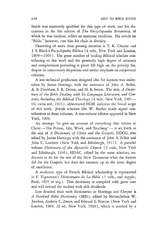Smith was eminently qualified for this type of work, and his discussions in the 9th edition of *The Encyclopaedia Britannica,* of which he was coeditor, reflect an immense erudition. His article on "Bible," however, cost him his chair in divinity.

Deserving of more than passing mention is T. K. Cheyne and J. S. Black's *Encyclopedia Biblica* (4 vols., New York and London, 1899—1903). The great number of leading Biblical scholars contributing to this work and the generally high degree of accuracy and completeness pervading it place EB high on the priority list, despite its unnecessary skepticism and undue emphasis on conjectural criticism.

A less technical production designed also for laymen was undertaken by James Hastings, with the assistance of John A. Selbie, A. B. Davidson, S. R. Driver, and H. B. Swete. The title, *A Dictio*nary of the Bible Dealing with Its Language, Literature, and Con*tents, Including the Biblical Theology* (4 vols., New York, 1901-04; extra vol., 1923), abbreviated HDB, indicates the broad scope of this work. Jewish scholars like W. Bacher made signal contributions to these volumes. A one-volume edition appeared in New York, 1909.

An attempt "to give an account of everything that relates to Christ - His Person, Life, Work, and Teaching" - is set forth as the aim of *A Dictionary of Christ and the Gospels,* HDCG, also edited by James Hastings, with the assistance of John A. Selbie and John C. Lambert (New York and Edinburgh, 1917). A parallel volume *Dictionary of the Apostolic Church* (2 vols., New York and Edinburgh, 1916), HDAC, edited by the same scholars, endeavors to do for the rest of the New Testament what the former did for the Gospels, but does not measure up to the same degree of excellence.

A moderate type of French Biblical scholarship is represented in F. Vigouroux's *Dictionnaire de La Bible* (5 vols., and suppls.; Paris, 1895 et seq.). This dictionary is compiled with great care and will reward the student with rich dividends.

Less detailed than such dictionaries as Hastings and Cheyne is *A Standard Bible Dictionary* (SBD), edited by Melanchthon W. Jacobus, Andrew C. Zenos, and Edward E. Nourse (New York and London, 1909; 2d ed., New York, 1926), which is marked by a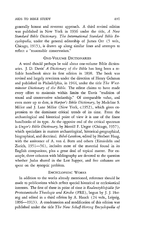generally honest and reverent approach. A third revised edition was published in New York in 1936 under the title, *A New Standard Bible Dictionary. The International Standard Bible Encyclopedia,* under the general editorship of James Orr (5 vols., Chicago, 1915), is drawn up along similar lines and attempts to reflect a "reasonable conservatism."

# ONE-VOLUME DICTIONARIES

A word should perhaps be said about one-volume Bible dictionaries. ]. D. Davis' *A Dictionary of the Bible* has long been a reliable handbook since its first edition in 1898. The book was revised and largely rewritten under the direction of Henry Gehman and published in Philadelphia, in 1944, under the title *The Westminster Dictionary of the Bible.* The editor claims to have made every effort to maintain within limits the Davis "tradition of sound and conservative scholarship." Of comparable value, and even more up to date, is *Harper's Bible Dictionary*, by Madeline S. Miller and J. Lane Miller (New York, c.1952), which gives expression to the dominant critical trends of its time. From the archaeological and historical point of view it is one of the finest handbooks of its type. At the opposite end of the critical spectrum is *Unger's Bible Dictionary,* by Merrill F. Unger (Chicago, 1957), which specializes in matters archaeological, historical-geographical, biographical, and doctrinal. *Bibel-Lexikon,* edited by Herbert Haag, with the assistance of A. van d. Born and others (Einsiedeln and Zurich, 1951-56), includes most of the material found in its English companions, plus a great deal of topical matter. For example, three columns with bibliography are devoted to the question whether Judas shared in the Last Supper, and five columns are spent on the synoptic problem.

#### ENCYCLOPEDIC WORKS

In addition to the works already mentioned, reference should be made to publications which reflect special historical or ecclesiastical interests. The first of these in point of time is *Realenzyklopädie für Protestantische Theologie tmd Kirche* (PRE), begun by J. J. Herzog and edited in a third edition by A. Hauck (24 vols., Leipzig, 1896-1913). A condensation and modification of this edition was published under the title *The New Schaff-Herzog Encyclopedia of*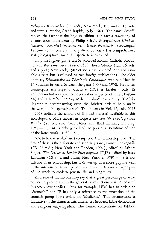*Religious Knowledge* (12 vols., New York, 1908-12; 13 vols. and suppls., reprint, Grand Rapids, 1949-50). The name "Schaff" reflects the fact that the English edition is in fact a reworking of a translation undertaken by Philip Schaff. *Evangelisches Kirchenlexikon: Kirchlich-theologisches Handworterbuch* (Gottingen, 1956-59) follows a similar pattern but on a less comprehensive scale; biographical material especially is curtailed.

Only the highest praise can be accorded Roman Catholic productions in this same area. *The Catholic Encyclopedia* (CE, 16 vols. and suppls.; New York, 1907 et seq.) has rendered long and valuable service but is eclipsed by two foreign publications. The older of these, *Dictionnaire de T heolo gie Catholique,* was published in 15 volumes in Paris, between the years 1909 and 1950. Its Italian counterpart *Enciclopedia Cattolica* (EC) is briefer - only 12 volumes - but was produced over a shorter period of time (1948--54) and is therefore more up to date in almost every entry. The bibliographies accompanying even the briefest articles help make the work an indispensable tool. The indexes in Vol. 12, cols. 2043 -2058 indicate the amount of Biblical material available in this encyclopedia. More modest in scope is *Lexicon für Theologie und Kirche* (2d ed., rev. Josef Hofer and Karl Rahner; Freiburg, 1957- ). M. Buchberger edited the previous 10-volume edition of the latter work (1930-38).

Not to be overlooked are two superior Jewish encyclopedias. The first of these is the elaborate and scholarly *T he Jewish Encyclopedia*  (JE, 12 vols.; New York and London, 1907), edited by Isidore Singer. *The Universal Jewish Encyclopedia* (UJE), edited by Isaac Landman (10 vols. and index; New York, c. 1939- ) is not inferior in its scholarship, but is drawn up in a more popular vein in the interests of Jewish public relations and devotes a major part of the work to modern Jewish life and biography.

As a rule of thumb one may say that a great percentage of what one can expect to find in the general Bible dictionary is not covered in these encyclopedias. Thus, for example, HDB has an article on "Stomach," but CE has only a reference to the invention of the stomach pump in its article on "Medicine." This circumstance is indicative of the characteristic differences between Bible dictionaries and religious encyclopedias. The former concentrate on Biblical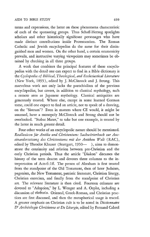terms and expressions, the latter on those phenomena characteristic of each of the sponsoring groups. Thus Schaff-Herzog spotlights scholars and other historically significant personages who have made distinct contributions inside Protestantism. The Roman Catholic and Jewish encyclopedias do the same for their distinguished men and women. On the other hand, a certain ecumenicity prevails, and instructive varying viewpoints may sometimes be obtained by checking in all three groups.

A work that combines the principal features of these encyclopedias with the detail one can expect to find in a Bible dictionary is the *Cyclopedia of Biblical, Theological, and Ecclesiastical Literature*  (New York, 1895), edited by J. McClintock and J. Strong. This marvelous work not only lacks the parochialism of the previous encyclopedias, but covers, in addition to classical mythology, such a remote area as Japanese mythology. Classical antiquities are generously treated. Where else, except in some learned German tome, could one expect to find an article, not to speak of a drawing, on the "Sistrum"? Even in matters where CE would, it might be assumed, have a monopoly McClintock and Strong should not be overlooked. "Stabat Mater," to take but one example, is treated by the latter in much greater detail.

Four other works of an encyclopedic nature should be mentioned. Reallexicon für Antike und Christentum: Sachwörterbuch zur Aus*einandersetzung des Christentums mit der Antiken Welt* (RAC), edited by Theodor Klauser (Stuttgart, 1950-), aims to demonstrate the continuity and relation between pre-Christian and the early Christian periods. Thus the article "Diakon" discusses the history of the term deacon and devotes three columns to the interpretation of Acts 6: Iff. The person of Abraham is first treated from the standpoint of the Old Testament, then of later Judaism, paganism, the New Testament, patristic literature, Christian liturgy, Christian exorcism, and finally from the standpoint of Christian art. The relevant literature is then cited. Fourteen columns are devoted to "Adoption," by L. Wenger and A. Oepke, including a discussion of υίοθεσία. Oriental, Greek-Roman, and Christian practices are first discussed, and then the metaphorical usage is traced. A greater emphasis on Christian cult is to be noted in *Dictionnaire*  D' *Archeologie Chretienne et De Liturgie,* edited by Fernand Cabrol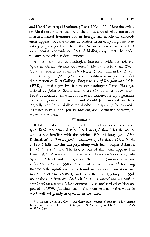and Henri Leclercq (15 volumes; Paris, 1924-53). Here the article on Abraham concerns itself with the appearance of Abraham in the intertestamental literature and in liturgy. An article on concordances appears, but the discussion centers in an early fragment consisting of passages taken from the Psalms, which seems to reflect a rudimentary concordance effort. A bibliography directs the reader to later concordance developments.

A strong comparative theological interest is evident in *Die Religion in Geschichte und Gegenwart: Handworterbuch fur Theologie ftnd Religionswissenschaft* (RGG, 5 vols. and index, 2d ed., rev.; Tübingen, 1927-32). A third edition is in process under the direction of Kurt Galling. *Encyclopedia of Religion and Ethics* (ERE), edited again by that master cataloguer James Hastings, assisted by John A. Selbie and others (13 volumes, New York, 1928), concerns itself with almost every conceivable topic germane to the religions of the world, and should be consulted on theologically significant Biblical terminology. "Baptism," for example, is treated in its Hindu, Jewish, Moslem, and Polynesian contexts, to mention but a few.

## **WORDBOOKS**

Related to the more encyclopedic Biblical works are the more specialized treatments of select word areas, designed for the reader who is not familiar with the original Biblical languages. Alan Richardson's *A Theological Wordbook of the Bible* (New York, c. 1950) falls into this category, along with Jean Jacques Allmen's *Vocabulaire Biblique.* The first edition of this work appeared in Paris, 1954. A translation of the second French edition was made by P. J. Allcock and others, under the title *A Companion to the*  Bible (New York, 1958). A kind of miniature Kittel,<sup>2</sup> featuring theologically significant terms found in Luther's translation and modern German versions, was published in Göttingen, 1954, under the title Biblisch-Theologisches Handwörterbuch zur Luther*bibel ttnd zu neueren Obersetzungen.* A second revised edition appeared in 1959. Judicious use of the index prefacing this valuable work will aid greatly **in** opening its treasures.

<sup>2</sup> I discuss *Theologisches Worterbuch zum Neuen Testament,* ed. Gerhard Kittel and Gerhard Friedrich (Stuttgart, 1933 et seq.) in Ch. VII of my *Aids to Bible Study.*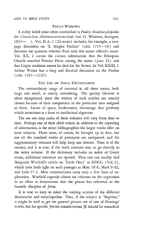#### PAULy-WISSOWA

A richly loded mine often overlooked is *Paulys Realencyclopiidie der Classischen Altertumswissenscha/t* (ed. G. Wissowa, Stuttgart, 1893- ). Vol. II A, 2 (2d series) includes, for example, a twopage discussion on "L. Sergius Paullus" (cols. 1715-18) and discusses the question whether Paul took this minor official's name. Vol. XX, 2 carries the curious information that the Ethiopian Church enrolled Pontius Pilate among the saints (June 25) and that Coptic tradition asserts he died for the Savior. In Vol. XXIII, 1 Arthur Weiser has a long and detailed discussion on the Psalms  $(cols. 1161—1220)$ .

# THE USE OF BIBLE DICTIONARIES

The extraordinary range of material in all these tomes, both large and small, is utterly astonishing. The quality likewise is often exceptional, since the writers of such articles are usually chosen because of their competence in the particular area assigned to them. Limits of space, furthermore, discourage that prolixity which sometimes is a bane to intellectual digestion.

The use one may make of these volumes will vary from time to time. Perhaps one of their chief values, in addition to the capsuling of information, is the select bibliographies the larger works offer on most subjects. These must, of course, be brought up to date, but not all the standard works of yesteryear are antiquated, and the supplementary volumes will help keep one abreast. Time is of the essence, and it is wise, if the work contains one, to go directly to the index volume. If the dictionary includes an index of Greek terms, additional resources are opened. Thus one can readlly find Benjamin Warfield's article on "Little Ones" in HDCG (Vol. 2), which casts fresh light on such passages as Matt. 18:6; Mark 9:42; and Luke 17:2. Most commentaries carry only a few lines of explanation. Warfield expends almost six columns on the expression in an effort to demonstrate that the phrase has reference to the humble disciples of Jesus.

It is wise to keep in mind the varying accents of the different dictionaries and encyclopedias. Thus, if the subject is "Baptism," it might be well to get the general picture out of one of Hastings' works, but for specific Jewish considerations JE should be consulted.